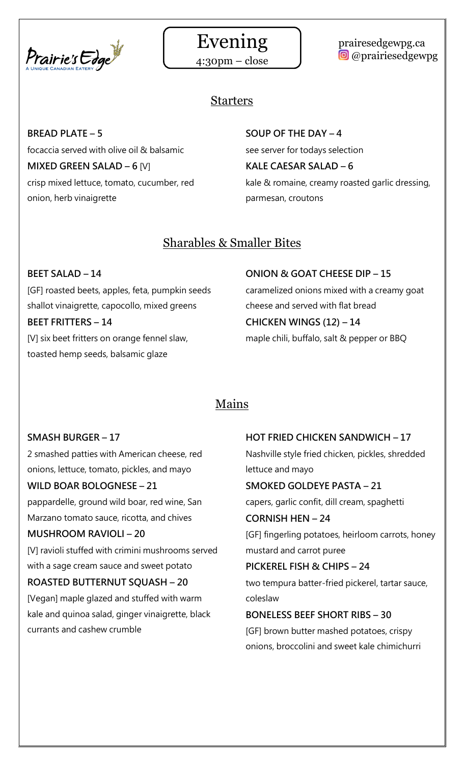

# Evening

4:30pm – close

# prairesedgewpg.ca **@** @prairiesedgewpg

# Starters

**BREAD PLATE – 5** focaccia served with olive oil & balsamic **MIXED GREEN SALAD – 6 [V]** crisp mixed lettuce, tomato, cucumber, red onion, herb vinaigrette

# **SOUP OF THE DAY – 4**

see server for todays selection **KALE CAESAR SALAD – 6** kale & romaine, creamy roasted garlic dressing, parmesan, croutons

# Sharables & Smaller Bites

**BEET SALAD – 14** [GF] roasted beets, apples, feta, pumpkin seeds shallot vinaigrette, capocollo, mixed greens **BEET FRITTERS – 14** [V] six beet fritters on orange fennel slaw, toasted hemp seeds, balsamic glaze

**ONION & GOAT CHEESE DIP – 15** caramelized onions mixed with a creamy goat cheese and served with flat bread **CHICKEN WINGS (12) – 14** maple chili, buffalo, salt & pepper or BBQ

# Mains

# **SMASH BURGER – 17**

2 smashed patties with American cheese, red onions, lettuce, tomato, pickles, and mayo

# **WILD BOAR BOLOGNESE – 21**

pappardelle, ground wild boar, red wine, San Marzano tomato sauce, ricotta, and chives

# **MUSHROOM RAVIOLI – 20**

[V] ravioli stuffed with crimini mushrooms served with a sage cream sauce and sweet potato

# **ROASTED BUTTERNUT SQUASH – 20**

[Vegan] maple glazed and stuffed with warm kale and quinoa salad, ginger vinaigrette, black currants and cashew crumble

# **HOT FRIED CHICKEN SANDWICH – 17** Nashville style fried chicken, pickles, shredded

lettuce and mayo

# **SMOKED GOLDEYE PASTA – 21**

capers, garlic confit, dill cream, spaghetti

# **CORNISH HEN – 24**

[GF] fingerling potatoes, heirloom carrots, honey mustard and carrot puree

# **PICKEREL FISH & CHIPS – 24**

two tempura batter-fried pickerel, tartar sauce, coleslaw

# **BONELESS BEEF SHORT RIBS – 30**

[GF] brown butter mashed potatoes, crispy onions, broccolini and sweet kale chimichurri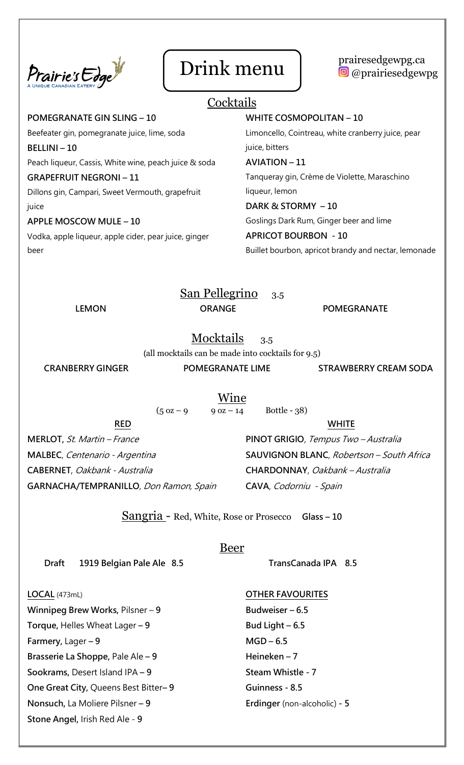



# **Cocktails**

**POMEGRANATE GIN SLING – 10** Beefeater gin, pomegranate juice, lime, soda **BELLINI – 10** Peach liqueur, Cassis, White wine, peach juice & soda **GRAPEFRUIT NEGRONI – 11** Dillons gin, Campari, Sweet Vermouth, grapefruit juice **APPLE MOSCOW MULE – 10**

### Vodka, apple liqueur, apple cider, pear juice, ginger beer

#### **WHITE COSMOPOLITAN – 10**

Limoncello, Cointreau, white cranberry juice, pear juice, bitters

#### **AVIATION – 11**

Tanqueray gin, Crème de Violette, Maraschino liqueur, lemon

#### **DARK & STORMY – 10**

Goslings Dark Rum, Ginger beer and lime

#### **APRICOT BOURBON - 10**

Buillet bourbon, apricot brandy and nectar, lemonade

San Pellegrino 3.5 **LEMON CRANGE POMEGRANATE** 

Mocktails 3.5

**(**all mocktails can be made into cocktails for 9.5)

**CRANBERRY GINGER POMEGRANATE LIME STRAWBERRY CREAM SODA**

Wine

 $(5 \text{ oz} - 9 \text{ oz} - 14 \text{ Bottle} - 38)$ 

#### **RED**

**MERLOT,** St. Martin – France **MALBEC**, Centenario - Argentina **CABERNET**, Oakbank - Australia **GARNACHA/TEMPRANILLO**, Don Ramon, Spain

#### **WHITE**

**PINOT GRIGIO**, Tempus Two – Australia **SAUVIGNON BLANC**, Robertson – South Africa **CHARDONNAY**, Oakbank – Australia **CAVA**, Codorniu - Spain

Sangria - Red, White, Rose or Prosecco **Glass – <sup>10</sup>**

#### Beer

 **TransCanada IPA 8.5**

 **Draft 1919 Belgian Pale Ale 8.5** 

#### **LOCAL** (473mL)

**Winnipeg Brew Works,** Pilsner – **9 Torque,** Helles Wheat Lager **– 9 Farmery,** Lager **– 9 Brasserie La Shoppe,** Pale Ale **– 9 Sookrams,** Desert Island IPA **– 9 One Great City,** Queens Best Bitter**– 9 Nonsuch,** La Moliere Pilsner **– 9 Stone Angel,** Irish Red Ale - **9**

#### **OTHER FAVOURITES**

**Budweiser – 6.5 Bud Light – 6.5 MGD – 6.5 Heineken – 7 Steam Whistle - 7 Guinness - 8.5 Erdinger** (non-alcoholic) **- 5**